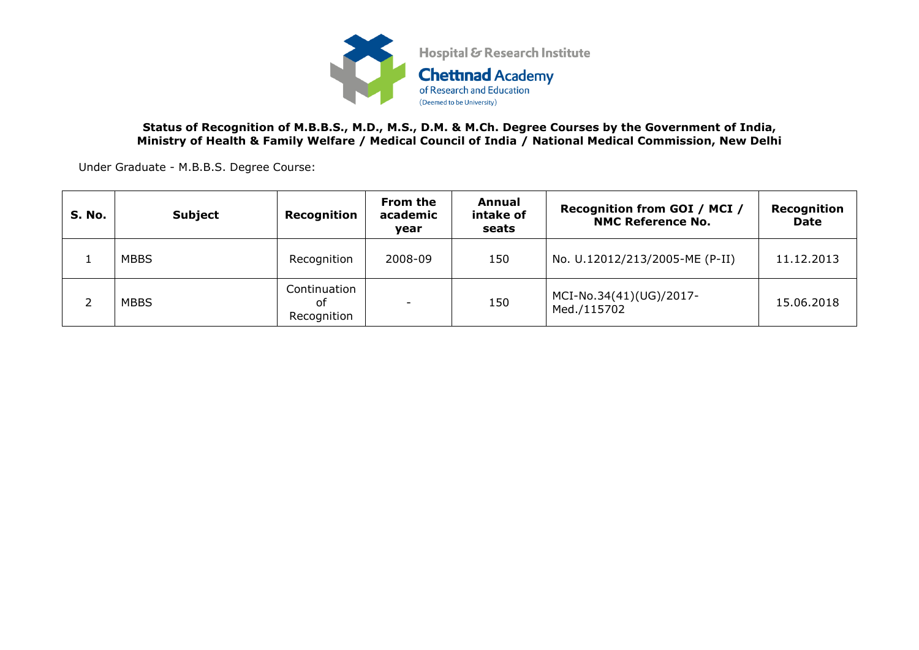

## **Status of Recognition of M.B.B.S., M.D., M.S., D.M. & M.Ch. Degree Courses by the Government of India, Ministry of Health & Family Welfare / Medical Council of India / National Medical Commission, New Delhi**

Under Graduate - M.B.B.S. Degree Course:

| <b>S. No.</b> | <b>Subject</b> | Recognition                       | From the<br>academic<br>vear | Annual<br>intake of<br>seats | <b>Recognition from GOI / MCI /</b><br><b>NMC Reference No.</b> | Recognition<br><b>Date</b> |
|---------------|----------------|-----------------------------------|------------------------------|------------------------------|-----------------------------------------------------------------|----------------------------|
|               | <b>MBBS</b>    | Recognition                       | 2008-09                      | 150                          | No. U.12012/213/2005-ME (P-II)                                  | 11.12.2013                 |
|               | <b>MBBS</b>    | Continuation<br>оf<br>Recognition |                              | 150                          | MCI-No.34(41)(UG)/2017-<br>Med./115702                          | 15.06.2018                 |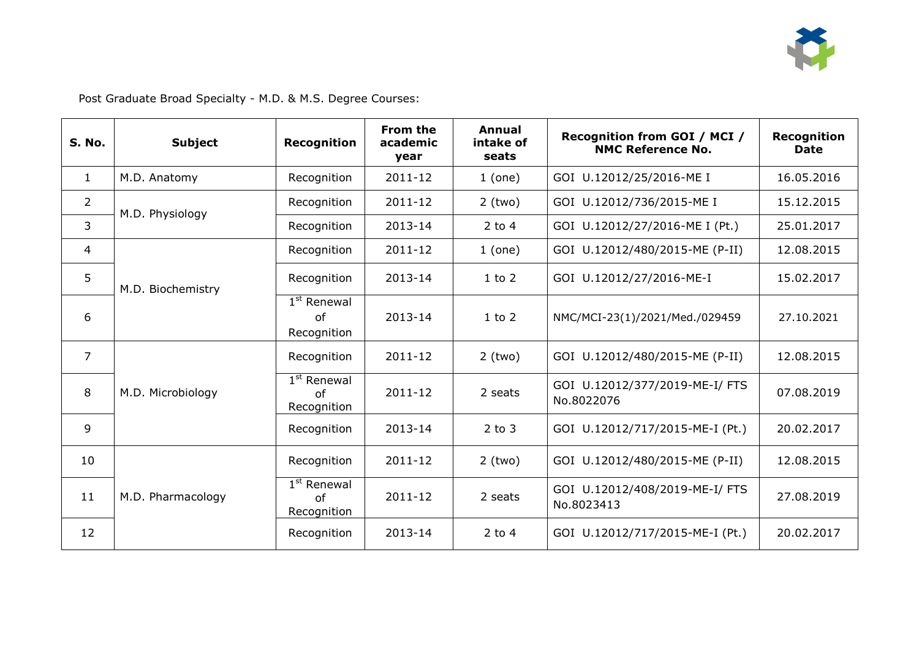

Post Graduate Broad Specialty - M.D. & M.S. Degree Courses:

| S. No.         | <b>Subject</b>    | <b>Recognition</b>                            | From the<br>academic<br>year | Annual<br>intake of<br>seats | Recognition from GOI / MCI /<br><b>NMC Reference No.</b> | Recognition<br><b>Date</b> |
|----------------|-------------------|-----------------------------------------------|------------------------------|------------------------------|----------------------------------------------------------|----------------------------|
| $\mathbf{1}$   | M.D. Anatomy      | Recognition                                   | 2011-12                      | 1 (one)                      | GOI U.12012/25/2016-ME I                                 | 16.05.2016                 |
| $\overline{2}$ | M.D. Physiology   | Recognition                                   | 2011-12                      | $2$ (two)                    | GOI U.12012/736/2015-ME I                                | 15.12.2015                 |
| 3              |                   | Recognition                                   | 2013-14                      | 2 to 4                       | GOI U.12012/27/2016-ME I (Pt.)                           | 25.01.2017                 |
| $\overline{4}$ |                   | Recognition                                   | 2011-12                      | $1$ (one)                    | GOI U.12012/480/2015-ME (P-II)                           | 12.08.2015                 |
| 5              | M.D. Biochemistry | Recognition                                   | 2013-14                      | $1$ to $2$                   | GOI U.12012/27/2016-ME-I                                 | 15.02.2017                 |
| 6              |                   | $1st$ Renewal<br>of<br>Recognition            | 2013-14                      | $1$ to $2$                   | NMC/MCI-23(1)/2021/Med./029459                           | 27.10.2021                 |
| $\overline{7}$ |                   | Recognition                                   | 2011-12                      | $2$ (two)                    | GOI U.12012/480/2015-ME (P-II)                           | 12.08.2015                 |
| 8              | M.D. Microbiology | $1st$ Renewal<br><sub>of</sub><br>Recognition | 2011-12                      | 2 seats                      | GOI U.12012/377/2019-ME-I/ FTS<br>No.8022076             | 07.08.2019                 |
| 9              |                   | Recognition                                   | 2013-14                      | $2$ to $3$                   | GOI U.12012/717/2015-ME-I (Pt.)                          | 20.02.2017                 |
| 10             |                   | Recognition                                   | 2011-12                      | $2$ (two)                    | GOI U.12012/480/2015-ME (P-II)                           | 12.08.2015                 |
| 11             | M.D. Pharmacology | $1st$ Renewal<br>of<br>Recognition            | 2011-12                      | 2 seats                      | GOI U.12012/408/2019-ME-I/ FTS<br>No.8023413             | 27.08.2019                 |
| 12             |                   | Recognition                                   | 2013-14                      | 2 to 4                       | GOI U.12012/717/2015-ME-I (Pt.)                          | 20.02.2017                 |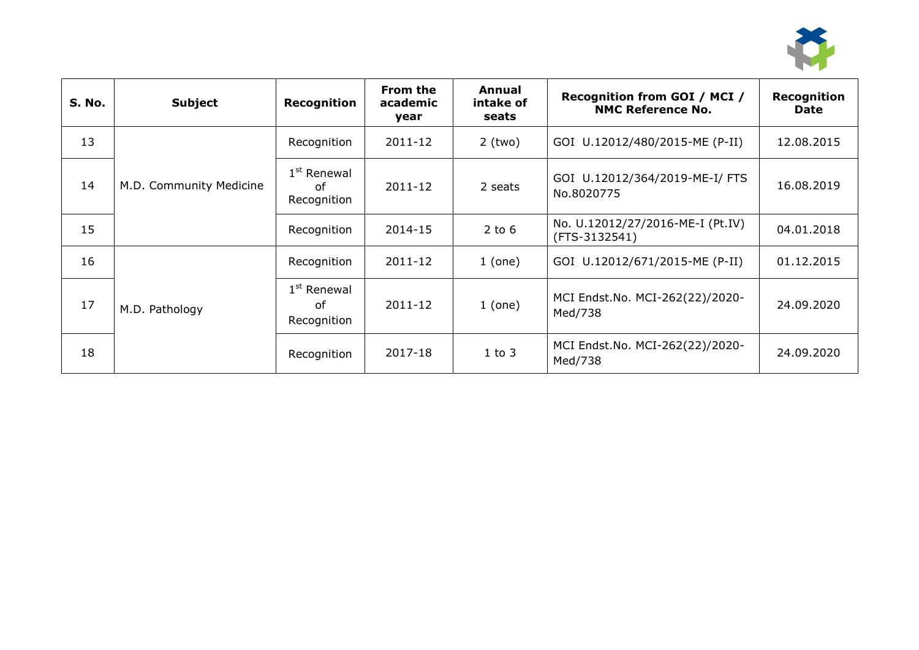

| S. No. | <b>Subject</b>          | Recognition                        | From the<br>academic<br>year | Annual<br>intake of<br>seats | Recognition from GOI / MCI /<br><b>NMC Reference No.</b> | Recognition<br><b>Date</b> |
|--------|-------------------------|------------------------------------|------------------------------|------------------------------|----------------------------------------------------------|----------------------------|
| 13     |                         | Recognition                        | 2011-12                      | $2$ (two)                    | GOI U.12012/480/2015-ME (P-II)                           | 12.08.2015                 |
| 14     | M.D. Community Medicine | $1st$ Renewal<br>of<br>Recognition | 2011-12                      | 2 seats                      | GOI U.12012/364/2019-ME-I/ FTS<br>No.8020775             | 16.08.2019                 |
| 15     |                         | Recognition                        | 2014-15                      | $2$ to 6                     | No. U.12012/27/2016-ME-I (Pt.IV)<br>(FTS-3132541)        | 04.01.2018                 |
| 16     |                         | Recognition                        | 2011-12                      | 1 (one)                      | GOI U.12012/671/2015-ME (P-II)                           | 01.12.2015                 |
| 17     | M.D. Pathology          | $1st$ Renewal<br>of<br>Recognition | 2011-12                      | 1 (one)                      | MCI Endst.No. MCI-262(22)/2020-<br>Med/738               | 24.09.2020                 |
| 18     |                         | Recognition                        | 2017-18                      | $1$ to $3$                   | MCI Endst.No. MCI-262(22)/2020-<br>Med/738               | 24.09.2020                 |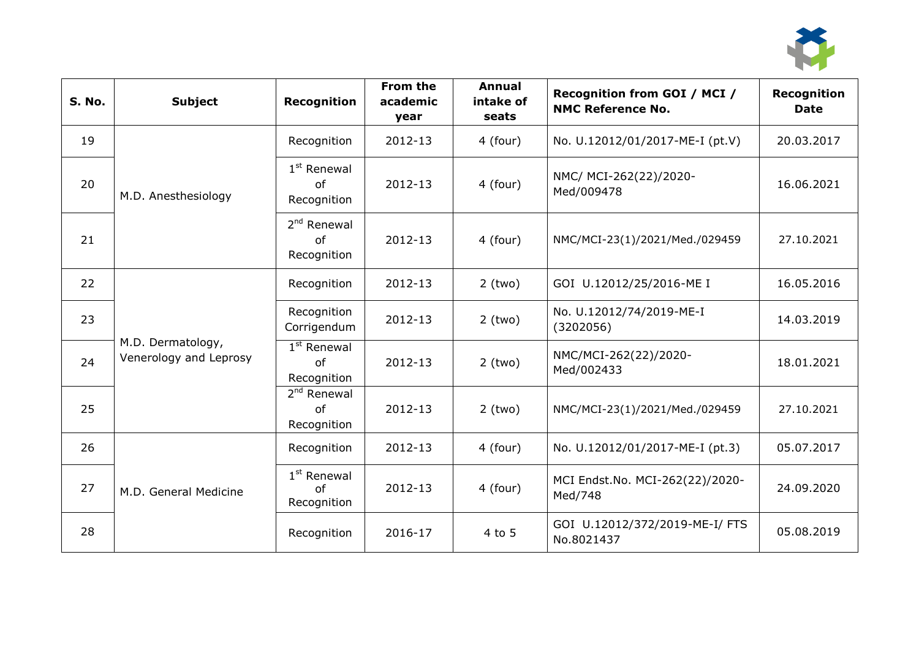

| <b>S. No.</b> | <b>Subject</b>                              | Recognition                        | From the<br>academic<br>year | <b>Annual</b><br>intake of<br>seats | Recognition from GOI / MCI /<br><b>NMC Reference No.</b> | <b>Recognition</b><br><b>Date</b> |
|---------------|---------------------------------------------|------------------------------------|------------------------------|-------------------------------------|----------------------------------------------------------|-----------------------------------|
| 19            |                                             | Recognition                        | 2012-13                      | 4 (four)                            | No. U.12012/01/2017-ME-I (pt.V)                          | 20.03.2017                        |
| 20            | M.D. Anesthesiology                         | $1st$ Renewal<br>of<br>Recognition | 2012-13                      | 4 (four)                            | NMC/ MCI-262(22)/2020-<br>Med/009478                     | 16.06.2021                        |
| 21            |                                             | $2nd$ Renewal<br>of<br>Recognition | 2012-13                      | 4 (four)                            | NMC/MCI-23(1)/2021/Med./029459                           | 27.10.2021                        |
| 22            |                                             | Recognition                        | 2012-13                      | $2$ (two)                           | GOI U.12012/25/2016-ME I                                 | 16.05.2016                        |
| 23            |                                             | Recognition<br>Corrigendum         | 2012-13                      | $2$ (two)                           | No. U.12012/74/2019-ME-I<br>(3202056)                    | 14.03.2019                        |
| 24            | M.D. Dermatology,<br>Venerology and Leprosy | $1st$ Renewal<br>of<br>Recognition | 2012-13                      | $2$ (two)                           | NMC/MCI-262(22)/2020-<br>Med/002433                      | 18.01.2021                        |
| 25            |                                             | $2nd$ Renewal<br>of<br>Recognition | 2012-13                      | $2$ (two)                           | NMC/MCI-23(1)/2021/Med./029459                           | 27.10.2021                        |
| 26            |                                             | Recognition                        | 2012-13                      | 4 (four)                            | No. U.12012/01/2017-ME-I (pt.3)                          | 05.07.2017                        |
| 27            | M.D. General Medicine                       | $1st$ Renewal<br>of<br>Recognition | 2012-13                      | 4 (four)                            | MCI Endst.No. MCI-262(22)/2020-<br>Med/748               | 24.09.2020                        |
| 28            |                                             | Recognition                        | 2016-17                      | 4 to 5                              | GOI U.12012/372/2019-ME-I/ FTS<br>No.8021437             | 05.08.2019                        |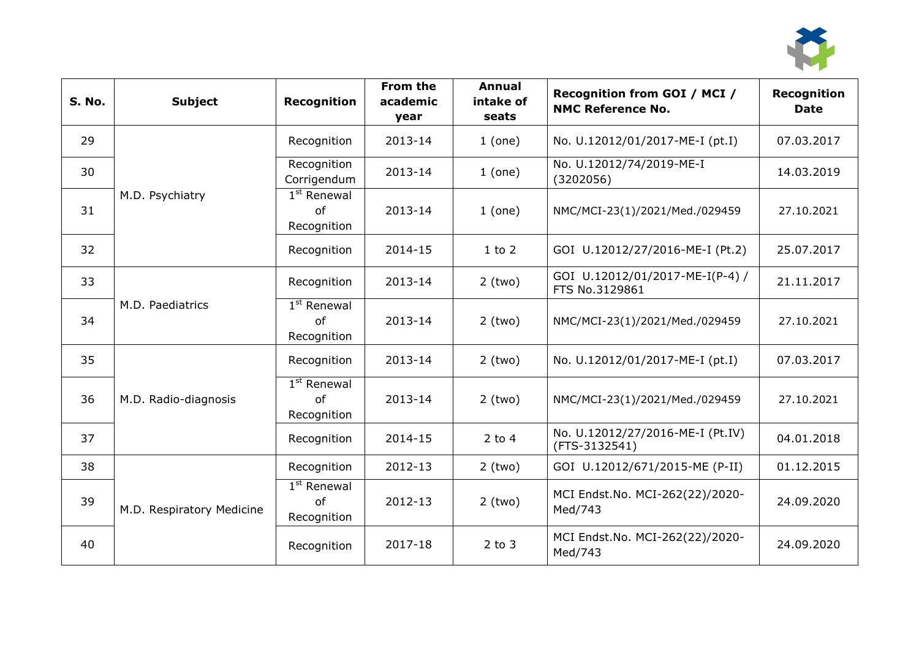

| <b>S. No.</b> | <b>Subject</b>            | <b>Recognition</b>                 | From the<br>academic<br>year | Annual<br>intake of<br>seats | Recognition from GOI / MCI /<br><b>NMC Reference No.</b> | <b>Recognition</b><br><b>Date</b> |
|---------------|---------------------------|------------------------------------|------------------------------|------------------------------|----------------------------------------------------------|-----------------------------------|
| 29            |                           | Recognition                        | 2013-14                      | 1 (one)                      | No. U.12012/01/2017-ME-I (pt.I)                          | 07.03.2017                        |
| 30            |                           | Recognition<br>Corrigendum         | 2013-14                      | 1 (one)                      | No. U.12012/74/2019-ME-I<br>(3202056)                    | 14.03.2019                        |
| 31            | M.D. Psychiatry           | $1st$ Renewal<br>of<br>Recognition | 2013-14                      | $1$ (one)                    | NMC/MCI-23(1)/2021/Med./029459                           | 27.10.2021                        |
| 32            |                           | Recognition                        | 2014-15                      | $1$ to $2$                   | GOI U.12012/27/2016-ME-I (Pt.2)                          | 25.07.2017                        |
| 33            |                           | Recognition                        | 2013-14                      | $2$ (two)                    | GOI U.12012/01/2017-ME-I(P-4) /<br>FTS No.3129861        | 21.11.2017                        |
| 34            | M.D. Paediatrics          | $1st$ Renewal<br>of<br>Recognition | 2013-14                      | $2$ (two)                    | NMC/MCI-23(1)/2021/Med./029459                           | 27.10.2021                        |
| 35            |                           | Recognition                        | 2013-14                      | $2$ (two)                    | No. U.12012/01/2017-ME-I (pt.I)                          | 07.03.2017                        |
| 36            | M.D. Radio-diagnosis      | $1st$ Renewal<br>of<br>Recognition | 2013-14                      | $2$ (two)                    | NMC/MCI-23(1)/2021/Med./029459                           | 27.10.2021                        |
| 37            |                           | Recognition                        | 2014-15                      | $2$ to 4                     | No. U.12012/27/2016-ME-I (Pt.IV)<br>(FTS-3132541)        | 04.01.2018                        |
| 38            |                           | Recognition                        | 2012-13                      | $2$ (two)                    | GOI U.12012/671/2015-ME (P-II)                           | 01.12.2015                        |
| 39            | M.D. Respiratory Medicine | $1st$ Renewal<br>of<br>Recognition | 2012-13                      | $2$ (two)                    | MCI Endst.No. MCI-262(22)/2020-<br>Med/743               | 24.09.2020                        |
| 40            |                           | Recognition                        | 2017-18                      | $2$ to $3$                   | MCI Endst.No. MCI-262(22)/2020-<br>Med/743               | 24.09.2020                        |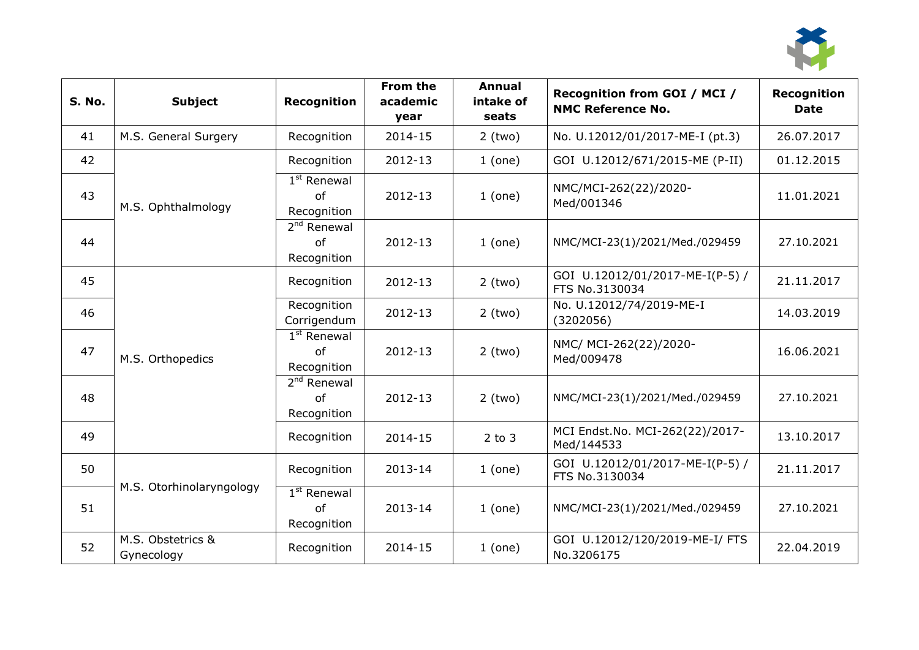

| S. No. | <b>Subject</b>                  | <b>Recognition</b>                 | From the<br>academic<br>year | <b>Annual</b><br>intake of<br>seats | Recognition from GOI / MCI /<br><b>NMC Reference No.</b> | <b>Recognition</b><br><b>Date</b> |
|--------|---------------------------------|------------------------------------|------------------------------|-------------------------------------|----------------------------------------------------------|-----------------------------------|
| 41     | M.S. General Surgery            | Recognition                        | 2014-15                      | $2$ (two)                           | No. U.12012/01/2017-ME-I (pt.3)                          | 26.07.2017                        |
| 42     |                                 | Recognition                        | 2012-13                      | 1 (one)                             | GOI U.12012/671/2015-ME (P-II)                           | 01.12.2015                        |
| 43     | M.S. Ophthalmology              | $1st$ Renewal<br>of<br>Recognition | 2012-13                      | 1 (one)                             | NMC/MCI-262(22)/2020-<br>Med/001346                      | 11.01.2021                        |
| 44     |                                 | $2nd$ Renewal<br>0f<br>Recognition | 2012-13                      | 1 (one)                             | NMC/MCI-23(1)/2021/Med./029459                           | 27.10.2021                        |
| 45     |                                 | Recognition                        | 2012-13                      | $2$ (two)                           | GOI U.12012/01/2017-ME-I(P-5) /<br>FTS No.3130034        | 21.11.2017                        |
| 46     |                                 | Recognition<br>Corrigendum         | 2012-13                      | $2$ (two)                           | No. U.12012/74/2019-ME-I<br>(3202056)                    | 14.03.2019                        |
| 47     | M.S. Orthopedics                | $1st$ Renewal<br>of<br>Recognition | 2012-13                      | $2$ (two)                           | NMC/ MCI-262(22)/2020-<br>Med/009478                     | 16.06.2021                        |
| 48     |                                 | $2nd$ Renewal<br>of<br>Recognition | 2012-13                      | $2$ (two)                           | NMC/MCI-23(1)/2021/Med./029459                           | 27.10.2021                        |
| 49     |                                 | Recognition                        | 2014-15                      | $2$ to $3$                          | MCI Endst.No. MCI-262(22)/2017-<br>Med/144533            | 13.10.2017                        |
| 50     |                                 | Recognition                        | 2013-14                      | 1 (one)                             | GOI U.12012/01/2017-ME-I(P-5) /<br>FTS No.3130034        | 21.11.2017                        |
| 51     | M.S. Otorhinolaryngology        | $1st$ Renewal<br>of<br>Recognition | 2013-14                      | 1 (one)                             | NMC/MCI-23(1)/2021/Med./029459                           | 27.10.2021                        |
| 52     | M.S. Obstetrics &<br>Gynecology | Recognition                        | 2014-15                      | $1$ (one)                           | GOI U.12012/120/2019-ME-I/ FTS<br>No.3206175             | 22.04.2019                        |